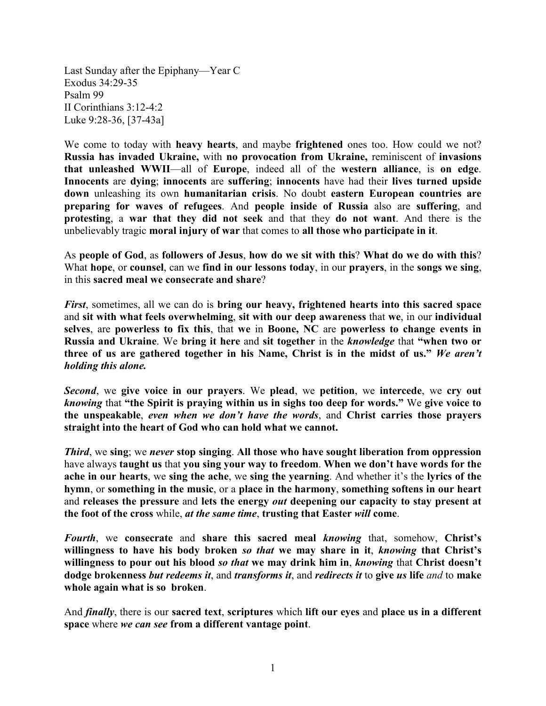Last Sunday after the Epiphany—Year C Exodus 34:29-35 Psalm 99 II Corinthians 3:12-4:2 Luke 9:28-36, [37-43a]

We come to today with **heavy hearts**, and maybe **frightened** ones too. How could we not? **Russia has invaded Ukraine,** with **no provocation from Ukraine,** reminiscent of **invasions that unleashed WWII**—all of **Europe**, indeed all of the **western alliance**, is **on edge**. **Innocents** are **dying**; **innocents** are **suffering**; **innocents** have had their **lives turned upside down** unleashing its own **humanitarian crisis**. No doubt **eastern European countries are preparing for waves of refugees**. And **people inside of Russia** also are **suffering**, and **protesting**, a **war that they did not seek** and that they **do not want**. And there is the unbelievably tragic **moral injury of war** that comes to **all those who participate in it**.

As **people of God**, as **followers of Jesus**, **how do we sit with this**? **What do we do with this**? What **hope**, or **counsel**, can we **find in our lessons today**, in our **prayers**, in the **songs we sing**, in this **sacred meal we consecrate and share**?

*First*, sometimes, all we can do is **bring our heavy, frightened hearts into this sacred space** and **sit with what feels overwhelming**, **sit with our deep awareness** that **we**, in our **individual selves**, are **powerless to fix this**, that **we** in **Boone, NC** are **powerless to change events in Russia and Ukraine**. We **bring it here** and **sit together** in the *knowledge* that **"when two or three of us are gathered together in his Name, Christ is in the midst of us."** *We aren't holding this alone.*

*Second*, we **give voice in our prayers**. We **plead**, we **petition**, we **intercede**, we **cry out** *knowing* that **"the Spirit is praying within us in sighs too deep for words."** We **give voice to the unspeakable**, *even when we don't have the words*, and **Christ carries those prayers straight into the heart of God who can hold what we cannot.**

*Third*, we **sing**; we *never* **stop singing**. **All those who have sought liberation from oppression** have always **taught us** that **you sing your way to freedom**. **When we don't have words for the ache in our hearts**, we **sing the ache**, we **sing the yearning**. And whether it's the **lyrics of the hymn**, or **something in the music**, or a **place in the harmony**, **something softens in our heart** and **releases the pressure** and **lets the energy** *out* **deepening our capacity to stay present at the foot of the cross** while, *at the same time*, **trusting that Easter** *will* **come**.

*Fourth*, we **consecrate** and **share this sacred meal** *knowing* that, somehow, **Christ's willingness to have his body broken** *so that* **we may share in it**, *knowing* **that Christ's willingness to pour out his blood** *so that* **we may drink him in**, *knowing* that **Christ doesn't dodge brokenness** *but redeems it*, and *transforms it*, and *redirects it* to **give** *us* **life** *and* to **make whole again what is so broken**.

And *finally*, there is our **sacred text**, **scriptures** which **lift our eyes** and **place us in a different space** where *we can see* **from a different vantage point**.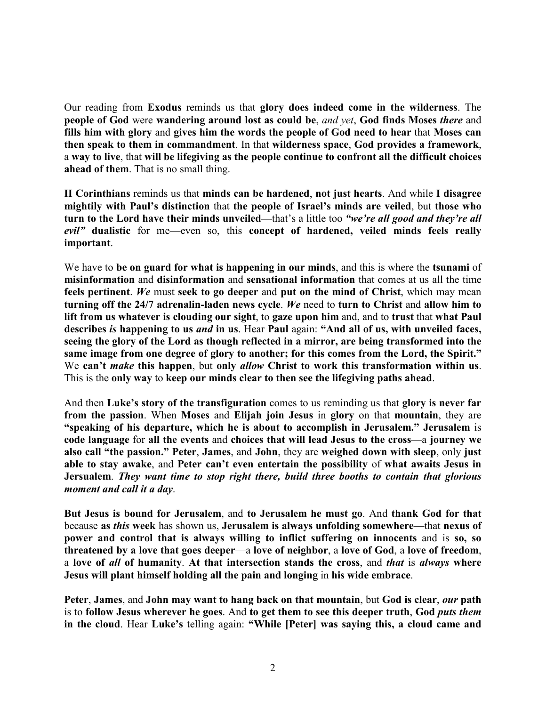Our reading from **Exodus** reminds us that **glory does indeed come in the wilderness**. The **people of God** were **wandering around lost as could be**, *and yet*, **God finds Moses** *there* and **fills him with glory** and **gives him the words the people of God need to hear** that **Moses can then speak to them in commandment**. In that **wilderness space**, **God provides a framework**, a **way to live**, that **will be lifegiving as the people continue to confront all the difficult choices ahead of them**. That is no small thing.

**II Corinthians** reminds us that **minds can be hardened**, **not just hearts**. And while **I disagree mightily with Paul's distinction** that **the people of Israel's minds are veiled**, but **those who turn to the Lord have their minds unveiled—**that's a little too *"we're all good and they're all evil"* **dualistic** for me—even so, this **concept of hardened, veiled minds feels really important**.

We have to **be on guard for what is happening in our minds**, and this is where the **tsunami** of **misinformation** and **disinformation** and **sensational information** that comes at us all the time **feels pertinent**. *We* must **seek to go deeper** and **put on the mind of Christ**, which may mean **turning off the 24/7 adrenalin-laden news cycle**. *We* need to **turn to Christ** and **allow him to lift from us whatever is clouding our sight**, to **gaze upon him** and, and to **trust** that **what Paul describes** *is* **happening to us** *and* **in us**. Hear **Paul** again: **"And all of us, with unveiled faces, seeing the glory of the Lord as though reflected in a mirror, are being transformed into the same image from one degree of glory to another; for this comes from the Lord, the Spirit."** We **can't** *make* **this happen**, but **only** *allow* **Christ to work this transformation within us**. This is the **only way** to **keep our minds clear to then see the lifegiving paths ahead**.

And then **Luke's story of the transfiguration** comes to us reminding us that **glory is never far from the passion**. When **Moses** and **Elijah join Jesus** in **glory** on that **mountain**, they are **"speaking of his departure, which he is about to accomplish in Jerusalem." Jerusalem** is **code language** for **all the events** and **choices that will lead Jesus to the cross**—a **journey we also call "the passion." Peter**, **James**, and **John**, they are **weighed down with sleep**, only **just able to stay awake**, and **Peter can't even entertain the possibility** of **what awaits Jesus in Jersualem**. *They want time to stop right there, build three booths to contain that glorious moment and call it a day*.

**But Jesus is bound for Jerusalem**, and **to Jerusalem he must go**. And **thank God for that** because **as** *this* **week** has shown us, **Jerusalem is always unfolding somewhere**—that **nexus of power and control that is always willing to inflict suffering on innocents** and is **so, so threatened by a love that goes deeper**—a **love of neighbor**, a **love of God**, a **love of freedom**, a **love of** *all* **of humanity**. **At that intersection stands the cross**, and *that* is *always* **where Jesus will plant himself holding all the pain and longing** in **his wide embrace**.

**Peter**, **James**, and **John may want to hang back on that mountain**, but **God is clear**, *our* **path** is to **follow Jesus wherever he goes**. And **to get them to see this deeper truth**, **God** *puts them* **in the cloud**. Hear **Luke's** telling again: **"While [Peter] was saying this, a cloud came and**